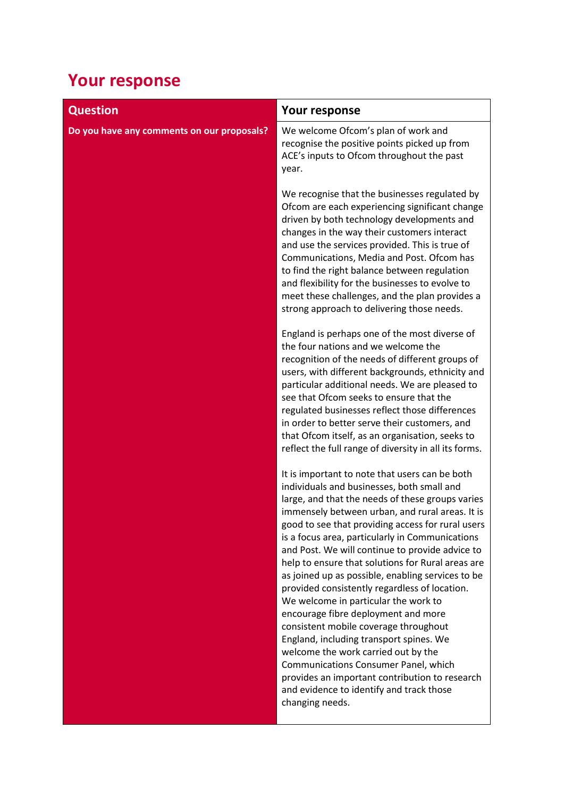## **Your response**

| <b>Question</b>                            | Your response                                                                                                                                                                                                                                                                                                                                                                                                                                                                                                                                                                                                                                                                                                                                                                                                                                                                                |
|--------------------------------------------|----------------------------------------------------------------------------------------------------------------------------------------------------------------------------------------------------------------------------------------------------------------------------------------------------------------------------------------------------------------------------------------------------------------------------------------------------------------------------------------------------------------------------------------------------------------------------------------------------------------------------------------------------------------------------------------------------------------------------------------------------------------------------------------------------------------------------------------------------------------------------------------------|
| Do you have any comments on our proposals? | We welcome Ofcom's plan of work and<br>recognise the positive points picked up from<br>ACE's inputs to Ofcom throughout the past<br>year.                                                                                                                                                                                                                                                                                                                                                                                                                                                                                                                                                                                                                                                                                                                                                    |
|                                            | We recognise that the businesses regulated by<br>Ofcom are each experiencing significant change<br>driven by both technology developments and<br>changes in the way their customers interact<br>and use the services provided. This is true of<br>Communications, Media and Post. Ofcom has<br>to find the right balance between regulation<br>and flexibility for the businesses to evolve to<br>meet these challenges, and the plan provides a<br>strong approach to delivering those needs.                                                                                                                                                                                                                                                                                                                                                                                               |
|                                            | England is perhaps one of the most diverse of<br>the four nations and we welcome the<br>recognition of the needs of different groups of<br>users, with different backgrounds, ethnicity and<br>particular additional needs. We are pleased to<br>see that Ofcom seeks to ensure that the<br>regulated businesses reflect those differences<br>in order to better serve their customers, and<br>that Ofcom itself, as an organisation, seeks to<br>reflect the full range of diversity in all its forms.                                                                                                                                                                                                                                                                                                                                                                                      |
|                                            | It is important to note that users can be both<br>individuals and businesses, both small and<br>large, and that the needs of these groups varies<br>immensely between urban, and rural areas. It is<br>good to see that providing access for rural users<br>is a focus area, particularly in Communications<br>and Post. We will continue to provide advice to<br>help to ensure that solutions for Rural areas are<br>as joined up as possible, enabling services to be<br>provided consistently regardless of location.<br>We welcome in particular the work to<br>encourage fibre deployment and more<br>consistent mobile coverage throughout<br>England, including transport spines. We<br>welcome the work carried out by the<br>Communications Consumer Panel, which<br>provides an important contribution to research<br>and evidence to identify and track those<br>changing needs. |